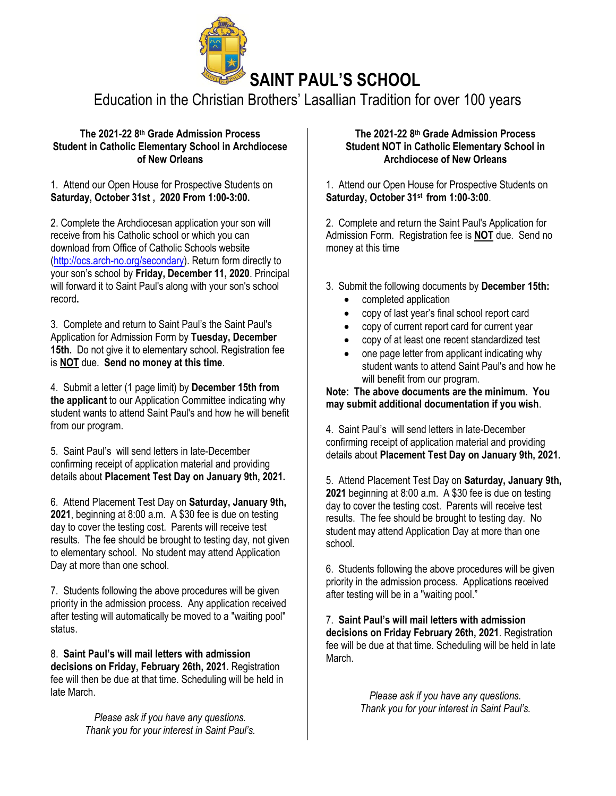

# Education in the Christian Brothers' Lasallian Tradition for over 100 years

### **The 2021-22 8 th Grade Admission Process Student in Catholic Elementary School in Archdiocese of New Orleans**

1. Attend our Open House for Prospective Students on **Saturday, October 31st , 2020 From 1:00-3:00.**

2. Complete the Archdiocesan application your son will receive from his Catholic school or which you can download from Office of Catholic Schools website [\(http://ocs.arch-no.org/secondary\)](http://ocs.arch-no.org/secondary). Return form directly to your son's school by **Friday, December 11, 2020**. Principal will forward it to Saint Paul's along with your son's school record**.**

3. Complete and return to Saint Paul's the Saint Paul's Application for Admission Form by **Tuesday, December 15th.** Do not give it to elementary school. Registration fee is **NOT** due. **Send no money at this time**.

4. Submit a letter (1 page limit) by **December 15th from the applicant** to our Application Committee indicating why student wants to attend Saint Paul's and how he will benefit from our program.

5. Saint Paul's will send letters in late-December confirming receipt of application material and providing details about **Placement Test Day on January 9th, 2021.**

6. Attend Placement Test Day on **Saturday, January 9th, 2021**, beginning at 8:00 a.m. A \$30 fee is due on testing day to cover the testing cost. Parents will receive test results. The fee should be brought to testing day, not given to elementary school. No student may attend Application Day at more than one school.

7. Students following the above procedures will be given priority in the admission process. Any application received after testing will automatically be moved to a "waiting pool" status.

8. **Saint Paul's will mail letters with admission decisions on Friday, February 26th, 2021.** Registration fee will then be due at that time. Scheduling will be held in late March.

> *Please ask if you have any questions. Thank you for your interest in Saint Paul's.*

### **The 2021-22 8 th Grade Admission Process Student NOT in Catholic Elementary School in Archdiocese of New Orleans**

1. Attend our Open House for Prospective Students on **Saturday, October 31st from 1:00**-**3:00**.

2. Complete and return the Saint Paul's Application for Admission Form. Registration fee is **NOT** due. Send no money at this time

- 3. Submit the following documents by **December 15th:**
	- completed application
	- copy of last year's final school report card
	- copy of current report card for current year
	- copy of at least one recent standardized test
	- one page letter from applicant indicating why student wants to attend Saint Paul's and how he will benefit from our program.

**Note: The above documents are the minimum. You may submit additional documentation if you wish**.

4. Saint Paul's will send letters in late-December confirming receipt of application material and providing details about **Placement Test Day on January 9th, 2021.**

5. Attend Placement Test Day on **Saturday, January 9th, 2021** beginning at 8:00 a.m. A \$30 fee is due on testing day to cover the testing cost. Parents will receive test results. The fee should be brought to testing day. No student may attend Application Day at more than one school.

6. Students following the above procedures will be given priority in the admission process. Applications received after testing will be in a "waiting pool."

7. **Saint Paul's will mail letters with admission decisions on Friday February 26th, 2021**. Registration fee will be due at that time. Scheduling will be held in late March.

> *Please ask if you have any questions. Thank you for your interest in Saint Paul's.*